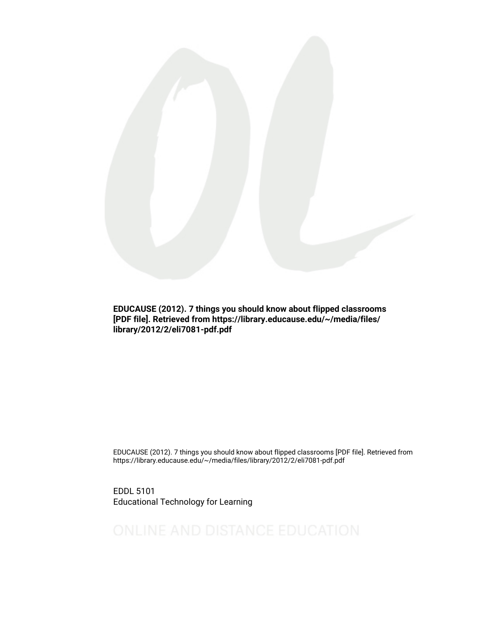

EDUCAUSE (2012). 7 things you should know about flipped classrooms [PDF file]. Retrieved from https://library.educause.edu/~/media/files/ library/2012/2/eli7081-pdf.pdf

EDUCAUSE (2012). 7 things you should know about flipped classrooms [PDF file]. Retrieved from https://library.educause.edu/~/media/files/library/2012/2/eli7081-pdf.pdf

EDDL 5101 Educational Technology for Learning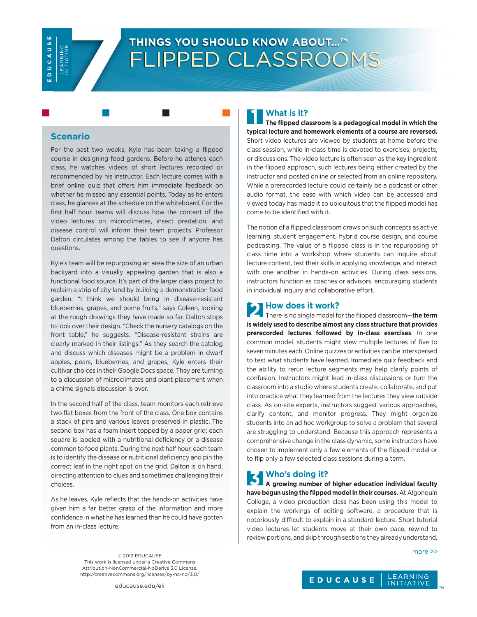**SUVODOS** LEARNING<br>INITIATIVE

# **THINGS YOU SHOULD KNOW ABOUT…™** FLIPPED CLASSROOMS

#### **Scenario**

For the past two weeks, Kyle has been taking a flipped course in designing food gardens. Before he attends each class, he watches videos of short lectures recorded or recommended by his instructor. Each lecture comes with a brief online quiz that offers him immediate feedback on whether he missed any essential points. Today as he enters class, he glances at the schedule on the whiteboard. For the first half hour, teams will discuss how the content of the video lectures on microclimates, insect predation, and disease control will inform their team projects. Professor Dalton circulates among the tables to see if anyone has questions.

Kyle's team will be repurposing an area the size of an urban backyard into a visually appealing garden that is also a functional food source. It's part of the larger class project to reclaim a strip of city land by building a demonstration food garden. "I think we should bring in disease-resistant blueberries, grapes, and pome fruits," says Coleen, looking at the rough drawings they have made so far. Dalton stops to look over their design. "Check the nursery catalogs on the front table," he suggests. "Disease-resistant strains are clearly marked in their listings." As they search the catalog and discuss which diseases might be a problem in dwarf apples, pears, blueberries, and grapes, Kyle enters their cultivar choices in their Google Docs space. They are turning to a discussion of microclimates and plant placement when a chime signals discussion is over.

In the second half of the class, team monitors each retrieve two flat boxes from the front of the class. One box contains a stack of pins and various leaves preserved in plastic. The second box has a foam insert topped by a paper grid; each square is labeled with a nutritional deficiency or a disease common to food plants. During the next half hour, each team is to identify the disease or nutritional deficiency and pin the correct leaf in the right spot on the grid. Dalton is on hand, directing attention to clues and sometimes challenging their choices.

As he leaves, Kyle reflects that the hands-on activities have given him a far better grasp of the information and more confidence in what he has learned than he could have gotten from an in-class lecture.

### **1. What is it?**

**The flipped classroom is a pedagogical model in which the typical lecture and homework elements of a course are reversed.** Short video lectures are viewed by students at home before the class session, while in-class time is devoted to exercises, projects, or discussions. The video lecture is often seen as the key ingredient in the flipped approach, such lectures being either created by the instructor and posted online or selected from an online repository. While a prerecorded lecture could certainly be a podcast or other audio format, the ease with which video can be accessed and viewed today has made it so ubiquitous that the flipped model has come to be identified with it.

The notion of a flipped classroom draws on such concepts as active learning, student engagement, hybrid course design, and course podcasting. The value of a flipped class is in the repurposing of class time into a workshop where students can inquire about lecture content, test their skills in applying knowledge, and interact with one another in hands-on activities. During class sessions, instructors function as coaches or advisors, encouraging students in individual inquiry and collaborative effort.

#### **2. How does it work?**

There is no single model for the flipped classroom—**the term is widely used to describe almost any class structure that provides prerecorded lectures followed by in-class exercises**. In one common model, students might view multiple lectures of five to seven minutes each. Online quizzes or activities can be interspersed to test what students have learned. Immediate quiz feedback and the ability to rerun lecture segments may help clarify points of confusion. Instructors might lead in-class discussions or turn the classroom into a studio where students create, collaborate, and put into practice what they learned from the lectures they view outside class. As on-site experts, instructors suggest various approaches, clarify content, and monitor progress. They might organize students into an ad hoc workgroup to solve a problem that several are struggling to understand. Because this approach represents a comprehensive change in the class dynamic, some instructors have chosen to implement only a few elements of the flipped model or to flip only a few selected class sessions during a term.

#### **3. Who's doing it?**

**A growing number of higher education individual faculty have begun using the flipped model in their courses.** At Algonquin College, a video production class has been using this model to explain the workings of editing software, a procedure that is notoriously difficult to explain in a standard lecture. Short tutorial video lectures let students move at their own pace, rewind to review portions, and skip through sections they already understand,

 $more$   $>>$